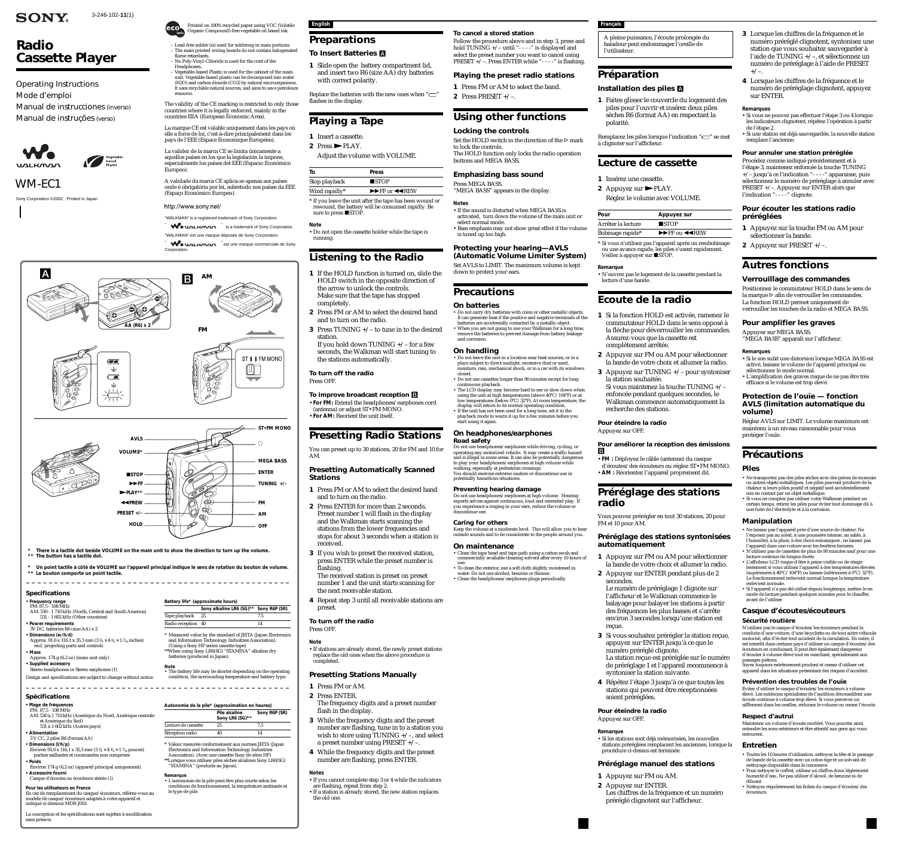3-246-102-**11**(1)

# **SONY**

# *Radio Cassette Player*

*WM-EC1*

Sony Corporation ©2002 Printed in Japan

Operating Instructions Mode d'emploi Manual de instrucciones (inverso) Manual de instruções (verso)



Printed on 100% recycled paper using VOC (Volatile Organic Compound)-free vegetable oil based ink.

- "WALKMAN" is a registered trademark of Sony Corporation.
- WO MALKMAN <sup>"</sup> is a trademark of Sony Corporation.
- "WALKMAN" est une marque déposée de Sony Corporation.

WO UALK/TAN " est une marque commerciale de Sony Corporation

– Lead-free solder (is) used for soldering in main portions. – The main printed wiring boards do not contain halogenated flame retardants – No Poly-Vinyl-Chloride is used for the cord of the

Headphones. – Vegetable-based Plastic is used for the cabinet of the main unit. Vegetable-based plastic can be decomposed into water (H2O) and carbon dioxide (CO2) by natural microorganisms. It uses recyclable natural sources, and aims to save petroleum

resource.

The validity of the CE marking is restricted to only those countries where it is legally enforced, mainly in the countries EEA (European Economic Area).

\* Measured value by the standard of JEITA (Japan Electronics n Iechnology Industrie

La marque CE est valable uniquement dans les pays où elle a force de loi, c'est-à-dire principalement dans les pays de l'EEE (Espace Economique Européen).

La validez de la marca CE se limita únicamente a aquellos países en los que la legislación la impone, especialmente los países del EEE (Espacio Económico Europeo).

A validade da marca CE aplica-se apenas aos países onde é obrigatória por lei, sobretudo nos países da EEE (Espaço Económico Europeu).

http://www.sony.net/

- **2** Press $\blacktriangleright$ PLAY.
- Adjust the volume with VOLUME.

rewound, the battery will be consumed rapidly. Be sure to press STOP.

### **Specifications**

**• Frequency range** FM: 87.5 - 108 MHz

AM: 530 - 1 710 kHz (North, Central and South America) 531 - 1 602 kHz (Other countries)

**• Power requirements** 3V DC, batteries R6 (size AA) x 2

- **Dimensions (w/h/d)** Approx. 91.6 x 116.1 x 35.3 mm (3  $\frac{5}{8} \times 4$   $\frac{5}{8} \times 1$   $\frac{7}{16}$  inches)
- excl. projecting parts and controls **• Mass**
- Approx. 174 g (6.2 oz) (main unit only)
- **Supplied accessory** Stereo headphones or Stereo earphones (1)

Design and specifications are subject to change without notice.



**Battery life\* (approximate hours)**

**Sony alkaline LR6 (SG)\*\* Sony R6P (SR)**

**Pile alcaline** Sony R6P (SR)

(Using a Sony HF series cassette tape)

\*\*When using Sony LR6(SG) "STAMINA" alkaline dry

batteries (produced in Japan).

Tape playback 25 7.5 Radio reception 40 14

**Note** • The battery life may be shorter depending on the operating condition, the surrounding temperature and battery type.

**To cancel a stored station** Follow the procedure above and in step 3, press and hold TUNING +/- until "- - - -" is displayed and select the preset number you want to cancel using PRESET +/-. Press ENTER while "----" is flashing.

**\*\* The button has a tactile dot.**

**English Preparations**

**\* Un point tactile à côté de VOLUME sur l'appareil principal indique le sens de rotation du bouton de volume. \*\* Le bouton comporte un point tactile.** 

# **To Insert Batteries** A

**1** Slide open the battery compartment lid, and insert two R6 (size AA) dry batteries with correct polarity.

Replace the batteries with the new ones when " $\Box$ "

•Bass emphasis may not show great effect if the volume Arrêter la lecture

flashes in the display.

**Playing a Tape**

**1** Insert a cassette.

| To            | <b>Press</b>                                         |
|---------------|------------------------------------------------------|
| Stop playback | $\blacksquare$ STOP                                  |
| Wind rapidly* | $\blacktriangleright$ FF or $\blacktriangleleft$ REW |

- **Note** •Do not open the cassette holder while the tape is
- running.

# **Listening to the Radio**

- **1** If the HOLD function is turned on, slide the HOLD switch in the opposite direction of the arrow to unlock the controls. Make sure that the tape has stopped completely.
- **2** Press FM or AM to select the desired band and to turn on the radio.
- **3** Press TUNING +/– to tune in to the desired station. If you hold down TUNING  $+/-$  for a few
- seconds, the Walkman will start tuning to the stations automatically.

**To turn off the radio**

Press OFF.

**To improve broadcast reception** B •**For FM:** Extend the headphones/earphones cord

(antenna) or adjust ST•FM MONO. •**For AM:** Reorient the unit itself.

# **Presetting Radio Stations**

• Clean the tape head and tape path using a cotton swab and commercially available cleaning solvent after every 10 hours of use. • To clean the exterior, use a soft cloth slightly moistened in water. Do not use alcohol, benzine or thinner. • Clean the headphones/earphones plugs periodically

You can preset up to 30 stations, 20 for FM and 10 for AM.

## **Presetting Automatically Scanned Stations**

**• Plage de fréquences**  $FM: 87,5 - 108$  MHz

- **1** Press FM or AM to select the desired band and to turn on the radio.
- **2** Press ENTER for more than 2 seconds. Preset number 1 will flash in the display and the Walkman starts scanning the stations from the lower frequencies and stops for about 3 seconds when a station is received.
- **3** If you wish to preset the received station, press ENTER while the preset number is flashing. The received station is preset on preset
- number 1 and the unit starts scanning for the next receivable station.
- **4** Repeat step 3 until all receivable stations are preset.

Lecture de cassette 25 7,5 Réception radio 40 14

# **To turn off the radio**

# Press OFF.

**Note** •If stations are already stored, the newly preset stations replace the old ones when the above procedure is completed.

# **Presetting Stations Manually**

Set the HOLD switch in the direction of the  $\mathrel{\rhd}$  mark à clignoter sur l'afficheur.

- **1** Press FM or AM. **2** Press ENTER. The frequency digits and a preset number flash in the display.
- **3** While the frequency digits and the preset number are flashing, tune in to a station you wish to store using TUNING +/–, and select a preset number using PRESET +/–.
- **4** While the frequency digits and the preset number are flashing, press ENTER.

Bobinage rapide\* $\blacktriangleright$ FF ou  $\blacktriangleleft$ REW \* Si vous n'utilisez pas l'appareil après un rembobinage

ou une avance rapide, les piles s'usent rapidement. Veillez à appuyer sur STOP.

#### **Notes**

•If you cannot complete step 3 or 4 while the indicators

are flashing, repeat from step 2. •If a station is already stored, the new station replaces the old one.

# **Playing the preset radio stations**

**1** Press FM or AM to select the band.

**2** Press PRESET  $+/-$ .

# **Using other functions**

**Locking the controls**

to lock the controls.

The HOLD function only locks the radio operation

buttons and MEGA BASS.

**Emphasizing bass sound**

Press MEGA BASS.

"MEGA BASS" appears in the display.

**Notes**

•If the sound is distorted when MEGA BASS is activated, turn down the volume of the main unit or

select normal mode.

is tuned up too high.

# **Protecting your hearing—AVLS**

# **Precautions**

### **On batteries**

Procédez comme indiqué précédemment et à l'étape 3, maintenez enfoncée la touche TUNING +/– jusqu'à ce l'indication "- - - -" apparaisse, puis sélectionnez le numéro de préréglage à annuler avec PRESET +/–. Appuyez sur ENTER alors que l'indication "- - - - " clignote.

- Do not carry dry batteries with coins or other metallic objects. It can generate heat if the positive and negative terminals of the batteries are accidentally contacted by a metallic object.
- When you are not going to use your Walkman for a long time, remove the batteries to prevent damage from battery leakage and corrosion.

# **On handling**

• Do not leave the unit in a location near heat sources, or in a place subject to direct sunlight, excessive dust or sand, moisture, rain, mechanical shock, or in a car with its windows closed. • Do not use cassettes longer than 90 minutes except for long

continuous playback.

• The LCD display may become hard to see or slow down when using the unit at high temperatures (above 40°C/104°F) or at low temperatures (below 0°C/32°F). At room temperature, the display will return to its normal operating condition. • If the unit has not been used for a long time, set it in the playback mode to warm it up for a few minutes before you

start using it again.

**On headphones/earphones**

**Road safety**

Do not use headphones/earphones while driving, cycling, or operating any motorized vehicle. It may create a traffic hazard and is illegal in some areas. It can also be potentially dangerous to play your headphones/earphones at high volume while

walking, especially at pedestrian crossings.

You should exercise extreme caution or discontinue use in potentially hazardous situations.

**Preventing hearing damage**

Do not use headphones/earphones at high volume. Hearing experts advise against continuous, loud and extended play. If you experience a ringing in your ears, reduce the volume or discontinue use.

**Caring for others**

Keep the volume at a moderate level. This will allow you to hear outside sounds and to be considerate to the people around you.

**On maintenance**

**(Automatic Volume Limiter System)** Set AVLS to LIMIT. The maximum volume is kept down to protect your ears. **Remarque**

# **Spécifications**

- AM: 530 à 1 710 kHz (Amérique du Nord, Amérique centrale et Amérique du Sud) 531 à 1 602 kHz (Autres pays)
- **Alimentation**
- 3 V CC, 2 piles R6 (format AA)
- 
- **Dimensions (l/h/p)**<br>Environ 91,6 x 116,1 x 35,3 mm (3 % × 4 % × 1 <sup>7</sup>/<sub>16</sub> pouces) parties saillantes et commandes non comprises **• Poids**
- Environ 174 g (6,2 oz) (appareil principal uniquement) **• Accessoire fourni**
- Casque d'écoutes ou écouteurs stéréo (1)
- **Pour les utilisateurs en France**
- En cas de remplacement du casque/écouteurs, référez-vous au modèle de casque/écouteurs adaptés à votre appareil et indiqué ci-dessous MDR-J010.

La conception et les spécifications sont sujettes à modification sans préavis.

**Autonomie de la pile\* (approximation en heures)**

**Sony LR6 (SG)\*\***

\* Valeur mesurée conformément aux normes JEITA (Japan Electronics and Information Technology Industries Association). (Avec une cassette Sony de série HF) \*\*Lorsque vous utilisez piles sèches alcalines Sony LR6(SG)

"STAMINA" (produite au Japon).

**Remarque**

• L'autonomie de la pile peut être plus courte selon les conditions de fonctionnement, la température ambiante et

le type de pile.

**Français**

A pleine puissance, l'écoute prolongée du baladeur peut endommager l'oreille de

l'utilisateur.

**2** Appuyez sur PLAY.

# **Préparation**

## **Installation des piles** A

**1** Faites glisser le couvercle du logement des piles pour l'ouvrir et insérez deux piles sèches R6 (format AA) en respectant la

Remplacez les piles lorsque l'indication " $\Box$ " se met

polarité.

# **Lecture de cassette**

**1** Insérez une cassette.

Réglez le volume avec VOLUME.

| Appuyez sur         |  |
|---------------------|--|
| $\blacksquare$ STOP |  |
|                     |  |

• N'ouvrez pas le logement de la cassette pendant la lecture d'une bande.

# **Ecoute de la radio**

**1** Si la fonction HOLD est activée, ramenez le commutateur HOLD dans le sens opposé à la flèche pour déverrouiller les commandes. Assurez-vous que la cassette est

- complètement arrêtée.
- **2** Appuyez sur FM ou AM pour sélectionner la bande de votre choix et allumer la radio. **3** Appuyez sur TUNING +/– pour syntoniser
- la station souhaitée. Si vous maintenez la touche TUNING +/–
- enfoncée pendant quelques secondes, le Walkman commence automatiquement la recherche des stations.
	-
- **Pour éteindre la radio** Appuyez sur OFF.

# **Pour améliorer la réception des émissions**

B

•**FM :** Déployez le câble (antenne) du casque d'écoutes/des écouteurs ou réglez ST•FM MONO. •**AM :** Réorientez l'appareil proprement dit.

# **Préréglage des stations**

**radio**

Vous pouvez prérégler en tout 30 stations, 20 pour FM et 10 pour AM.

## **Préréglage des stations syntonisées automatiquement**

**1** Appuyez sur FM ou AM pour sélectionner la bande de votre choix et allumer la radio. **2** Appuyez sur ENTER pendant plus de 2

secondes.

Le numéro de préréglage 1 clignote sur l'afficheur et le Walkman commence le balayage pour balayer les stations à partir des fréquences les plus basses et s'arrête environ 3 secondes lorsqu'une station est

reçue.

# **3** Si vous souhaitez prérégler la station reçue, appuyez sur ENTER jusqu'à ce que le

numéro préréglé clignote. La station reçue est préréglée sur le numéro de préréglage 1 et l'appareil recommence à syntoniser la station suivante.

**4** Répétez l'étape 3 jusqu'à ce que toutes les stations qui peuvent être réceptionnées soient préréglées.

#### **Pour éteindre la radio** Appuyez sur OFF.

**Remarque**

# **Pour**

•Si les stations sont déjà mémorisées, les nouvelles stations préréglées remplacent les anciennes, lorsque la procédure ci-dessus est terminée.

# **Préréglage manuel des stations**

**1** Appuyez sur FM ou AM.

- **2** Appuyez sur ENTER.
- Les chiffres de la fréquence et un numéro préréglé clignotent sur l'afficheur.
- **3** Lorsque les chiffres de la fréquence et le numéro préréglé clignotent, syntonisez une station que vous souhaitez sauvegarder à l'aide de TUNING +/–, et sélectionnez un numéro de préréglage à l'aide de PRESET +/–.
- **4** Lorsque les chiffres de la fréquence et le numéro de préréglage clignotent, appuyez sur ENTER.

**Remarques**

- •Si vous ne pouvez pas effectuer l'étape 3 ou 4 lorsque les indicateurs clignotent, répétez l'opération à partir de l'étape 2.
- •Si une station est déjà sauvegardée, la nouvelle station remplace l'ancienne.

## **Pour annuler une station préréglée**

### **Pour écouter les stations radio préréglées**

- **1** Appuyez sur la touche FM ou AM pour
- sélectionner la bande. **2** Appuyez sur PRESET +/–.

# **Autres fonctions**

## **Verrouillage des commandes**

Positionnez le commutateur HOLD dans le sens de la marque  $\triangleright$  afin de verrouiller les commandes. La fonction HOLD permet uniquement de verrouiller les touches de la radio et MEGA BASS.

## **Pour amplifier les graves**

Appuyez sur MEGA BASS. "MEGA BASS" apparaît sur l'afficheur.

**Remarques**

- •Si le son subit une distorsion lorsque MEGA BASS est activé, baissez le volume de l'appareil principal ou sélectionnez le mode normal.
- •L'amplification des graves risque de ne pas être très efficace si le volume est trop élevé.

# **Protection de l'ouïe — fonction AVLS (limitation automatique du volume)**

Réglez AVLS sur LIMIT. Le volume maximum est maintenu à un niveau raisonnable pour vous protéger l'ouïe.

# **Précautions**

# **Piles**

- Ne transportez pas des piles sèches avec des pièces de monnaie ou autres objets métalliques. Les piles peuvent produire de la chaleur si leurs pôles positif et négatif sont accidentellement mis en contact par un objet métallique.
- Si vous ne comptez pas utiliser votre Walkman pendant un certain temps, retirez les piles pour éviter tout dommage dû à une fuite de l'électrolyte et à la corrosion.

### **Manipulation**

- Ne laissez pas l'appareil près d'une source de chaleur. Ne l'exposez pas au soleil, à une poussière intense, au sable, à l'humidité, à la pluie, à des chocs mécaniques ; ne laissez pas l'appareil dans une voiture avec les fenêtres fermées.
- N'utilisez pas de cassettes de plus de 90 minutes sauf pour une lecture continue de longue durée. • L'afficheur LCD risque d'être à peine visible ou de réagir
- lentement si vous utilisez l'appareil à des températures élevées (supérieures à 40°C/104°F) ou basses (inférieures à 0°C/32°F). Le fonctionnement redevient normal lorsque la température redevient normale.
- Si l'appareil n'a pas été utilisé depuis longtemps, mettez-le en mode de lecture pendant quelques minutes pour le chauffer, avant de l'utiliser.

# **Casque d'écoutes/écouteurs**

# **Sécurité routière**

N'utilisez pas le casque d'écoutes/les écouteurs pendant la conduite d'une voiture, d'une bicyclette ou de tout autre véhicule motorisé, afin d'éviter tout accident de la circulation. En outre, il est interdit dans certains pays d'utiliser un casque d'écoutes/des écouteurs en conduisant. Il peut être également dangereux d'écouter à volume élevé tout en marchant, spécialement aux passages piétons.

Soyez toujours extrêmement prudent et cessez d'utiliser cet appareil dans les situations présentant des risques d'accident.

# **Prévention des troubles de l'ouïe**

Evitez d'utiliser le casque d'écoutes/les écouteurs à volume élevé. Les médecins spécialistes de l'audition déconseillent une écoute continue à volume trop élevé. Si vous percevez un sifflement dans les oreilles, réduisez le volume ou cessez l'écoute.

#### **Respect d'autrui**

Maintenez un volume d'écoute modéré. Vous pourrez ainsi entendre les sons extérieurs et être attentif aux gens qui vous entourent.

#### **Entretien**

- Toutes les 10 heures d'utilisation, nettoyez la tête et le passage de bande de la cassette avec un coton-tige et un solvant de nettoyage disponible dans le commerce.
- Pour nettoyer le coffret, utilisez un chiffon doux légèrement humecté d'eau. Ne pas utiliser d'alcool, de benzine ni de
- diluant. Nettoyez régulièrement les fiches du casque d'écoutes/des écouteurs.